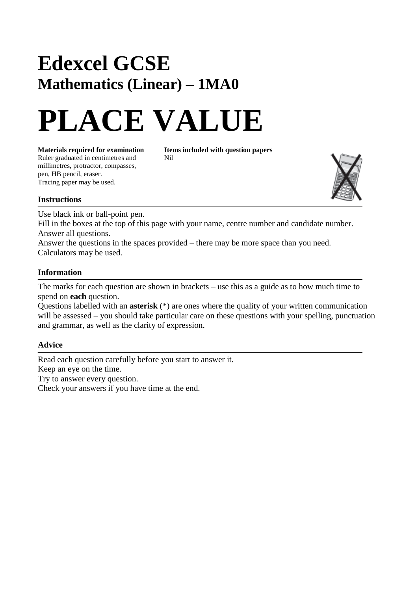## **Edexcel GCSE Mathematics (Linear) – 1MA0**

# **PLACE VALUE**

**Materials required for examination Items included with question papers**<br>Ruler graduated in centimetres and **Nil** Ruler graduated in centimetres and millimetres, protractor, compasses, pen, HB pencil, eraser. Tracing paper may be used.



### **Instructions**

Use black ink or ball-point pen.

Fill in the boxes at the top of this page with your name, centre number and candidate number. Answer all questions.

Answer the questions in the spaces provided – there may be more space than you need. Calculators may be used.

### **Information**

The marks for each question are shown in brackets – use this as a guide as to how much time to spend on **each** question.

Questions labelled with an **asterisk** (\*) are ones where the quality of your written communication will be assessed – you should take particular care on these questions with your spelling, punctuation and grammar, as well as the clarity of expression.

### **Advice**

Read each question carefully before you start to answer it. Keep an eye on the time. Try to answer every question. Check your answers if you have time at the end.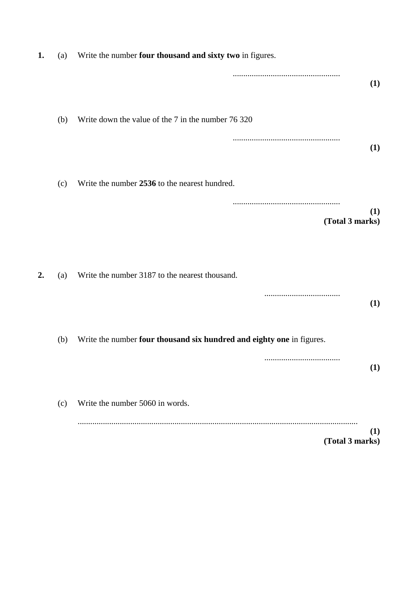| 1. | (a) | Write the number four thousand and sixty two in figures.              |
|----|-----|-----------------------------------------------------------------------|
|    |     | (1)                                                                   |
|    | (b) | Write down the value of the 7 in the number 76 320                    |
|    |     | (1)                                                                   |
|    | (c) | Write the number 2536 to the nearest hundred.                         |
|    |     | (1)<br>(Total 3 marks)                                                |
| 2. | (a) | Write the number 3187 to the nearest thousand.                        |
|    |     | (1)                                                                   |
|    | (b) | Write the number four thousand six hundred and eighty one in figures. |
|    |     | <br>(1)                                                               |
|    | (c) | Write the number 5060 in words.                                       |
|    |     | (1)<br>(Total 3 marks)                                                |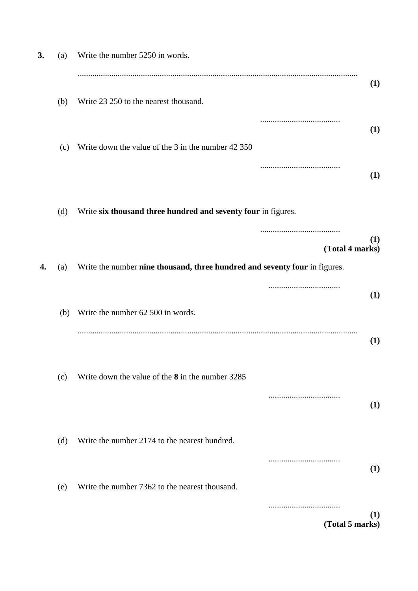| 3. | (a) | Write the number 5250 in words.                                            |                        |
|----|-----|----------------------------------------------------------------------------|------------------------|
|    | (b) | Write 23 250 to the nearest thousand.                                      | (1)                    |
|    | (c) | Write down the value of the 3 in the number 42 350                         | (1)                    |
|    |     |                                                                            | (1)                    |
|    | (d) | Write six thousand three hundred and seventy four in figures.              |                        |
| 4. |     |                                                                            | (1)<br>(Total 4 marks) |
|    | (a) | Write the number nine thousand, three hundred and seventy four in figures. |                        |
|    | (b) | Write the number 62 500 in words.                                          | (1)                    |
|    |     |                                                                            | (1)                    |
|    | (c) | Write down the value of the 8 in the number 3285                           |                        |
|    |     |                                                                            | (1)                    |
|    | (d) | Write the number 2174 to the nearest hundred.                              | (1)                    |
|    | (e) | Write the number 7362 to the nearest thousand.                             |                        |
|    |     |                                                                            | (1)<br>(Total 5 marks) |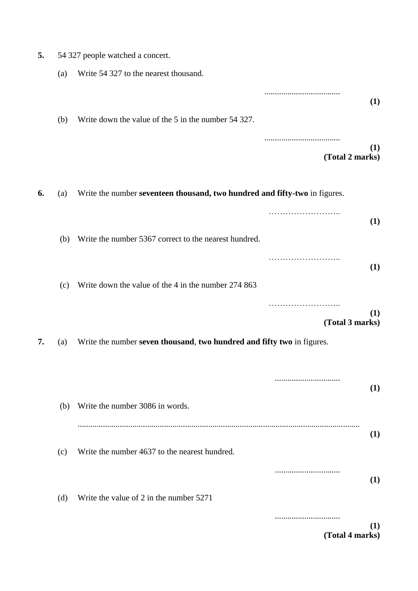| 5.<br>54 327 people watched a concert. |
|----------------------------------------|
|----------------------------------------|

|    | (a) | Write 54 327 to the nearest thousand.                                      |                             |
|----|-----|----------------------------------------------------------------------------|-----------------------------|
|    |     |                                                                            | (1)                         |
|    | (b) | Write down the value of the 5 in the number 54 327.                        |                             |
|    |     |                                                                            | <br>(1)<br>(Total 2 marks)  |
| 6. | (a) | Write the number seventeen thousand, two hundred and fifty-two in figures. |                             |
|    |     |                                                                            | (1)                         |
|    | (b) | Write the number 5367 correct to the nearest hundred.                      |                             |
|    |     |                                                                            | (1)                         |
|    | (c) | Write down the value of the 4 in the number 274 863                        |                             |
|    |     |                                                                            | .<br>(1)<br>(Total 3 marks) |
| 7. | (a) | Write the number seven thousand, two hundred and fifty two in figures.     |                             |
|    |     |                                                                            |                             |
|    | (b) | Write the number 3086 in words.                                            | (1)                         |
|    |     |                                                                            | (1)                         |
|    | (c) | Write the number 4637 to the nearest hundred.                              |                             |
|    |     |                                                                            | <br>(1)                     |
|    | (d) | Write the value of 2 in the number 5271                                    |                             |
|    |     |                                                                            | (1)<br>(Total 4 marks)      |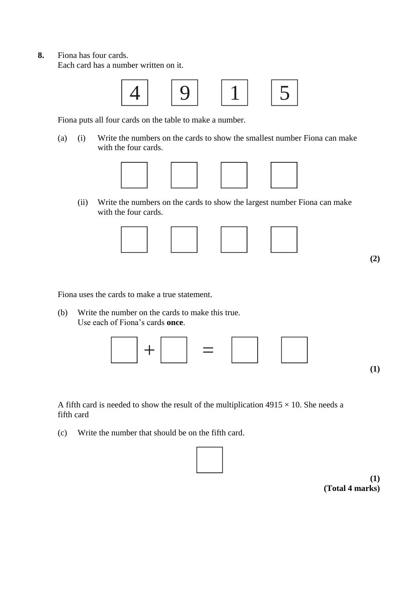**8.** Fiona has four cards.

Each card has a number written on it.



Fiona puts all four cards on the table to make a number.

(a) (i) Write the numbers on the cards to show the smallest number Fiona can make with the four cards.



(ii) Write the numbers on the cards to show the largest number Fiona can make with the four cards.



**(2)**

Fiona uses the cards to make a true statement.

(b) Write the number on the cards to make this true. Use each of Fiona's cards **once**.



A fifth card is needed to show the result of the multiplication  $4915 \times 10$ . She needs a fifth card

(c) Write the number that should be on the fifth card.



**(1) (Total 4 marks)**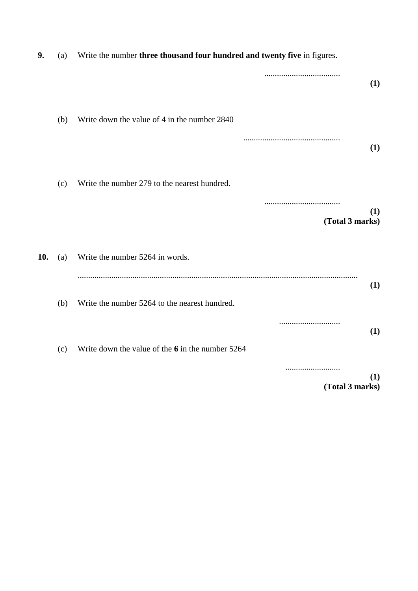| 9.  | (a) | Write the number three thousand four hundred and twenty five in figures. |
|-----|-----|--------------------------------------------------------------------------|
|     |     | (1)                                                                      |
|     | (b) | Write down the value of 4 in the number 2840                             |
|     |     | (1)                                                                      |
|     | (c) | Write the number 279 to the nearest hundred.                             |
|     |     | (1)<br>(Total 3 marks)                                                   |
| 10. | (a) | Write the number 5264 in words.                                          |
|     | (b) | (1)<br>Write the number 5264 to the nearest hundred.                     |
|     | (c) | (1)<br>Write down the value of the $6$ in the number 5264                |
|     |     | (1)<br>(Total 3 marks)                                                   |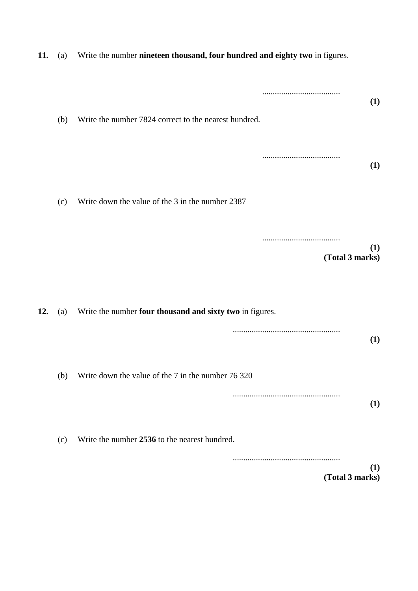| 11. | (a) | Write the number nineteen thousand, four hundred and eighty two in figures. |  |
|-----|-----|-----------------------------------------------------------------------------|--|
|     | (b) | (1)<br>Write the number 7824 correct to the nearest hundred.                |  |
|     |     | (1)                                                                         |  |
|     | (c) | Write down the value of the 3 in the number 2387                            |  |
|     |     | (1)<br>(Total 3 marks)                                                      |  |
| 12. | (a) | Write the number four thousand and sixty two in figures.                    |  |
|     |     | (1)                                                                         |  |
|     | (b) | Write down the value of the 7 in the number 76 320                          |  |
|     |     | (1)                                                                         |  |
|     | (c) | Write the number 2536 to the nearest hundred.                               |  |
|     |     | (1)<br>(Total 3 marks)                                                      |  |